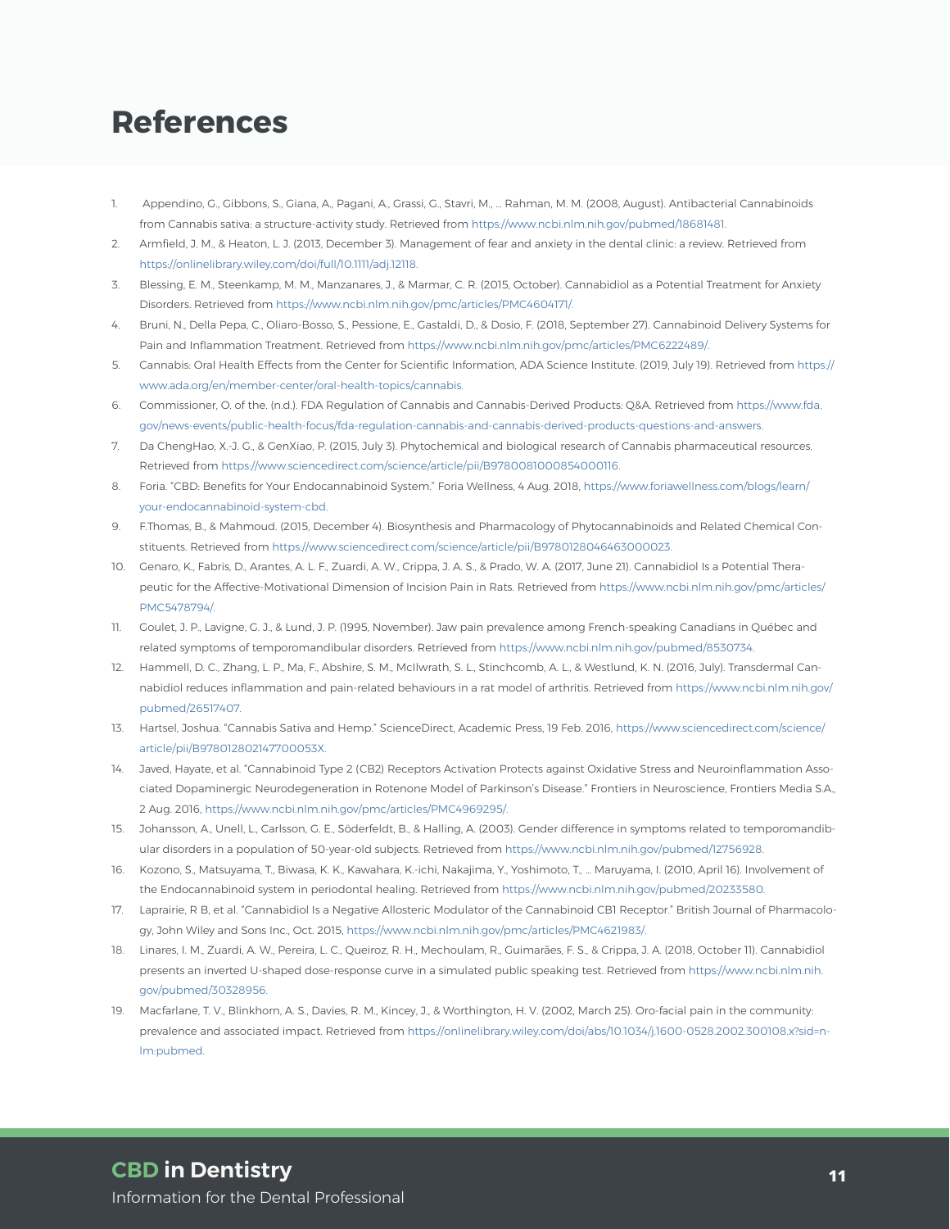## **References**

- 1. Appendino, G., Gibbons, S., Giana, A., Pagani, A., Grassi, G., Stavri, M., … Rahman, M. M. (2008, August). Antibacterial Cannabinoids from Cannabis sativa: a structure-activity study. Retrieved from https://www.ncbi.nlm.nih.gov/pubmed/18681481.
- 2. Armfield, J. M., & Heaton, L. J. (2013, December 3). Management of fear and anxiety in the dental clinic: a review. Retrieved from https://onlinelibrary.wiley.com/doi/full/10.1111/adj.12118.
- 3. Blessing, E. M., Steenkamp, M. M., Manzanares, J., & Marmar, C. R. (2015, October). Cannabidiol as a Potential Treatment for Anxiety Disorders. Retrieved from https://www.ncbi.nlm.nih.gov/pmc/articles/PMC4604171/.
- 4. Bruni, N., Della Pepa, C., Oliaro-Bosso, S., Pessione, E., Gastaldi, D., & Dosio, F. (2018, September 27). Cannabinoid Delivery Systems for Pain and Inflammation Treatment. Retrieved from https://www.ncbi.nlm.nih.gov/pmc/articles/PMC6222489/.
- 5. Cannabis: Oral Health Effects from the Center for Scientific Information, ADA Science Institute. (2019, July 19). Retrieved from https:// www.ada.org/en/member-center/oral-health-topics/cannabis.
- 6. Commissioner, O. of the. (n.d.). FDA Regulation of Cannabis and Cannabis-Derived Products: Q&A. Retrieved from https://www.fda. gov/news-events/public-health-focus/fda-regulation-cannabis-and-cannabis-derived-products-questions-and-answers.
- 7. Da ChengHao, X.-J. G., & GenXiao, P. (2015, July 3). Phytochemical and biological research of Cannabis pharmaceutical resources. Retrieved from https://www.sciencedirect.com/science/article/pii/B9780081000854000116.
- 8. Foria. "CBD: Benefits for Your Endocannabinoid System." Foria Wellness, 4 Aug. 2018, https://www.foriawellness.com/blogs/learn/ your-endocannabinoid-system-cbd.
- 9. F.Thomas, B., & Mahmoud. (2015, December 4). Biosynthesis and Pharmacology of Phytocannabinoids and Related Chemical Constituents. Retrieved from https://www.sciencedirect.com/science/article/pii/B9780128046463000023.
- 10. Genaro, K., Fabris, D., Arantes, A. L. F., Zuardi, A. W., Crippa, J. A. S., & Prado, W. A. (2017, June 21). Cannabidiol Is a Potential Therapeutic for the Affective-Motivational Dimension of Incision Pain in Rats. Retrieved from https://www.ncbi.nlm.nih.gov/pmc/articles/ PMC5478794/.
- 11. Goulet, J. P., Lavigne, G. J., & Lund, J. P. (1995, November). Jaw pain prevalence among French-speaking Canadians in Québec and related symptoms of temporomandibular disorders. Retrieved from https://www.ncbi.nlm.nih.gov/pubmed/8530734.
- 12. Hammell, D. C., Zhang, L. P., Ma, F., Abshire, S. M., McIlwrath, S. L., Stinchcomb, A. L., & Westlund, K. N. (2016, July). Transdermal Cannabidiol reduces inflammation and pain-related behaviours in a rat model of arthritis. Retrieved from https://www.ncbi.nlm.nih.gov/ pubmed/26517407.
- 13. Hartsel, Joshua. "Cannabis Sativa and Hemp." ScienceDirect, Academic Press, 19 Feb. 2016, https://www.sciencedirect.com/science/ article/pii/B978012802147700053X.
- 14. Javed, Hayate, et al. "Cannabinoid Type 2 (CB2) Receptors Activation Protects against Oxidative Stress and Neuroinflammation Associated Dopaminergic Neurodegeneration in Rotenone Model of Parkinson's Disease." Frontiers in Neuroscience, Frontiers Media S.A., 2 Aug. 2016, https://www.ncbi.nlm.nih.gov/pmc/articles/PMC4969295/.
- 15. Johansson, A., Unell, L., Carlsson, G. E., Söderfeldt, B., & Halling, A. (2003). Gender difference in symptoms related to temporomandibular disorders in a population of 50-year-old subjects. Retrieved from https://www.ncbi.nlm.nih.gov/pubmed/12756928.
- 16. Kozono, S., Matsuyama, T., Biwasa, K. K., Kawahara, K.-ichi, Nakajima, Y., Yoshimoto, T., … Maruyama, I. (2010, April 16). Involvement of the Endocannabinoid system in periodontal healing. Retrieved from https://www.ncbi.nlm.nih.gov/pubmed/20233580.
- 17. Laprairie, R B, et al. "Cannabidiol Is a Negative Allosteric Modulator of the Cannabinoid CB1 Receptor." British Journal of Pharmacology, John Wiley and Sons Inc., Oct. 2015, https://www.ncbi.nlm.nih.gov/pmc/articles/PMC4621983/.
- 18. Linares, I. M., Zuardi, A. W., Pereira, L. C., Queiroz, R. H., Mechoulam, R., Guimarães, F. S., & Crippa, J. A. (2018, October 11). Cannabidiol presents an inverted U-shaped dose-response curve in a simulated public speaking test. Retrieved from https://www.ncbi.nlm.nih. gov/pubmed/30328956.
- 19. Macfarlane, T. V., Blinkhorn, A. S., Davies, R. M., Kincey, J., & Worthington, H. V. (2002, March 25). Oro-facial pain in the community: prevalence and associated impact. Retrieved from https://onlinelibrary.wiley.com/doi/abs/10.1034/j.1600-0528.2002.300108.x?sid=nlm:pubmed.